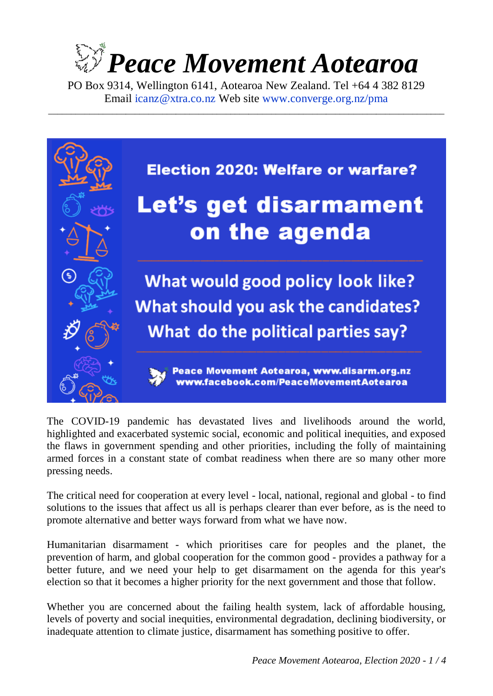# *Peace Movement Aotearoa*

PO Box 9314, Wellington 6141, Aotearoa New Zealand. Tel +64 4 382 8129 Email [icanz@xtra.co.nz](mailto:icanz@xtra.co.nz?subject=Election%202020%20resource) Web site [www.converge.org.nz/pma](http://www.converge.org.nz/pma)

\_\_\_\_\_\_\_\_\_\_\_\_\_\_\_\_\_\_\_\_\_\_\_\_\_\_\_\_\_\_\_\_\_\_\_\_\_\_\_\_\_\_\_\_\_\_\_\_\_\_\_\_\_\_\_\_\_\_\_\_\_\_\_\_\_\_\_\_\_\_\_\_\_\_\_\_\_\_\_\_\_\_\_\_\_\_\_



The COVID-19 pandemic has devastated lives and livelihoods around the world, highlighted and exacerbated systemic social, economic and political inequities, and exposed the flaws in government spending and other priorities, including the folly of maintaining armed forces in a constant state of combat readiness when there are so many other more pressing needs.

The critical need for cooperation at every level - local, national, regional and global - to find solutions to the issues that affect us all is perhaps clearer than ever before, as is the need to promote alternative and better ways forward from what we have now.

Humanitarian disarmament - which prioritises care for peoples and the planet, the prevention of harm, and global cooperation for the common good - provides a pathway for a better future, and we need your help to get disarmament on the agenda for this year's election so that it becomes a higher priority for the next government and those that follow.

Whether you are concerned about the failing health system, lack of affordable housing, levels of poverty and social inequities, environmental degradation, declining biodiversity, or inadequate attention to climate justice, disarmament has something positive to offer.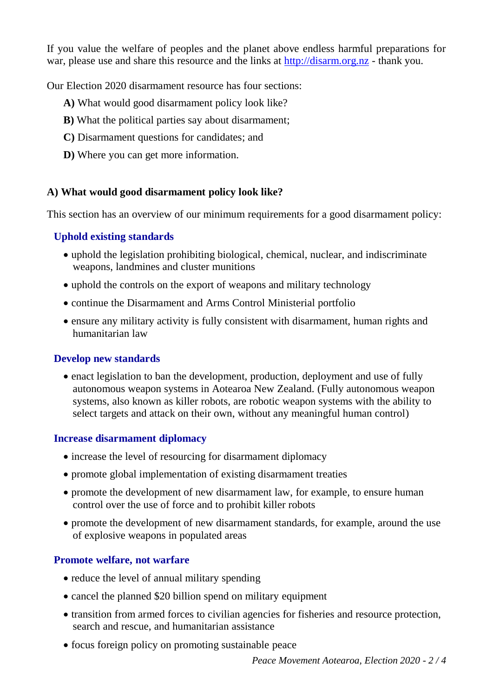If you value the welfare of peoples and the planet above endless harmful preparations for war, please use and share this resource and the links at [http://disarm.org.nz](http://disarm.org.nz/) - thank you.

Our Election 2020 disarmament resource has four sections:

- **A)** What would good disarmament policy look like?
- **B)** What the political parties say about disarmament;
- **C)** Disarmament questions for candidates; and
- **D)** Where you can get more information.

## **A) What would good disarmament policy look like?**

This section has an overview of our minimum requirements for a good disarmament policy:

# **Uphold existing standards**

- uphold the legislation prohibiting biological, chemical, nuclear, and indiscriminate weapons, landmines and cluster munitions
- uphold the controls on the export of weapons and military technology
- continue the Disarmament and Arms Control Ministerial portfolio
- ensure any military activity is fully consistent with disarmament, human rights and humanitarian law

# **Develop new standards**

• enact legislation to ban the development, production, deployment and use of fully autonomous weapon systems in Aotearoa New Zealand. (Fully autonomous weapon systems, also known as killer robots, are robotic weapon systems with the ability to select targets and attack on their own, without any meaningful human control)

# **Increase disarmament diplomacy**

- increase the level of resourcing for disarmament diplomacy
- promote global implementation of existing disarmament treaties
- promote the development of new disarmament law, for example, to ensure human control over the use of force and to prohibit killer robots
- promote the development of new disarmament standards, for example, around the use of explosive weapons in populated areas

# **Promote welfare, not warfare**

- reduce the level of annual military spending
- cancel the planned \$20 billion spend on military equipment
- transition from armed forces to civilian agencies for fisheries and resource protection, search and rescue, and humanitarian assistance
- focus foreign policy on promoting sustainable peace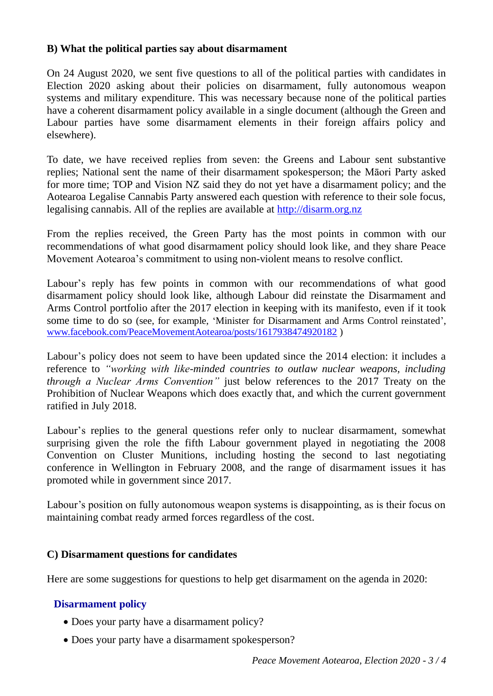## **B) What the political parties say about disarmament**

On 24 August 2020, we sent five questions to all of the political parties with candidates in Election 2020 asking about their policies on disarmament, fully autonomous weapon systems and military expenditure. This was necessary because none of the political parties have a coherent disarmament policy available in a single document (although the Green and Labour parties have some disarmament elements in their foreign affairs policy and elsewhere).

To date, we have received replies from seven: the Greens and Labour sent substantive replies; National sent the name of their disarmament spokesperson; the Māori Party asked for more time; TOP and Vision NZ said they do not yet have a disarmament policy; and the Aotearoa Legalise Cannabis Party answered each question with reference to their sole focus, legalising cannabis. All of the replies are available at [http://disarm.org.nz](http://disarm.org.nz/)

From the replies received, the Green Party has the most points in common with our recommendations of what good disarmament policy should look like, and they share Peace Movement Aotearoa's commitment to using non-violent means to resolve conflict.

Labour's reply has few points in common with our recommendations of what good disarmament policy should look like, although Labour did reinstate the Disarmament and Arms Control portfolio after the 2017 election in keeping with its manifesto, even if it took some time to do so (see, for example, 'Minister for Disarmament and Arms Control reinstated', [www.facebook.com/PeaceMovementAotearoa/posts/1617938474920182](https://www.facebook.com/PeaceMovementAotearoa/posts/1617938474920182) )

Labour's policy does not seem to have been updated since the 2014 election: it includes a reference to *"working with like-minded countries to outlaw nuclear weapons, including through a Nuclear Arms Convention"* just below references to the 2017 Treaty on the Prohibition of Nuclear Weapons which does exactly that, and which the current government ratified in July 2018.

Labour's replies to the general questions refer only to nuclear disarmament, somewhat surprising given the role the fifth Labour government played in negotiating the 2008 Convention on Cluster Munitions, including hosting the second to last negotiating conference in Wellington in February 2008, and the range of disarmament issues it has promoted while in government since 2017.

Labour's position on fully autonomous weapon systems is disappointing, as is their focus on maintaining combat ready armed forces regardless of the cost.

## **C) Disarmament questions for candidates**

Here are some suggestions for questions to help get disarmament on the agenda in 2020:

# **Disarmament policy**

- Does your party have a disarmament policy?
- Does your party have a disarmament spokesperson?